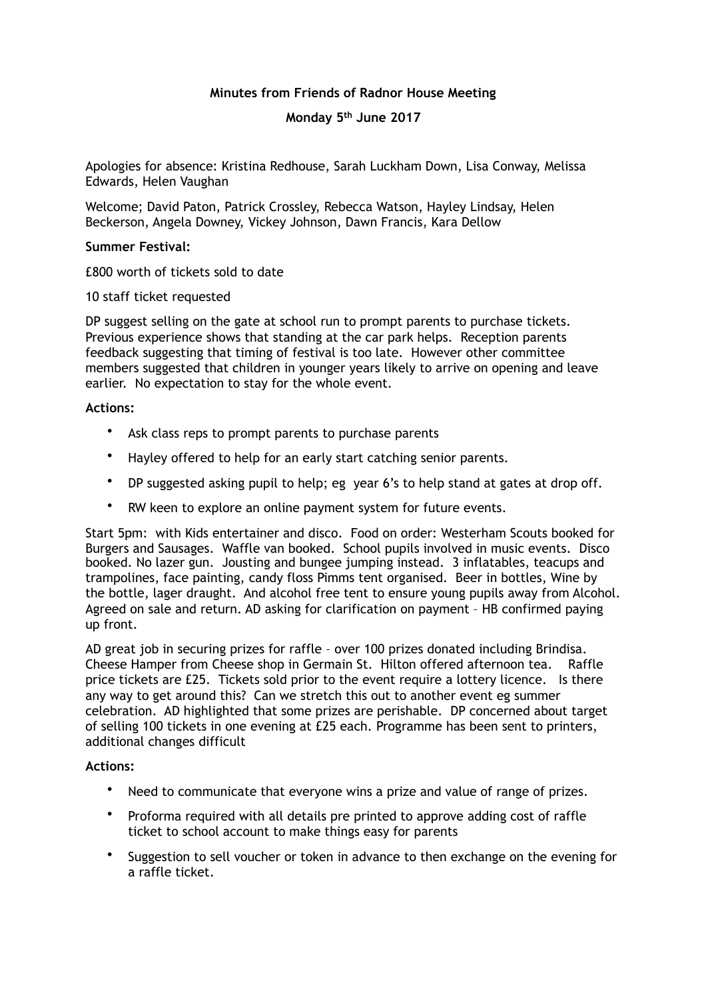# **Minutes from Friends of Radnor House Meeting**

## **Monday 5th June 2017**

Apologies for absence: Kristina Redhouse, Sarah Luckham Down, Lisa Conway, Melissa Edwards, Helen Vaughan

Welcome; David Paton, Patrick Crossley, Rebecca Watson, Hayley Lindsay, Helen Beckerson, Angela Downey, Vickey Johnson, Dawn Francis, Kara Dellow

### **Summer Festival:**

£800 worth of tickets sold to date

10 staff ticket requested

DP suggest selling on the gate at school run to prompt parents to purchase tickets. Previous experience shows that standing at the car park helps. Reception parents feedback suggesting that timing of festival is too late. However other committee members suggested that children in younger years likely to arrive on opening and leave earlier. No expectation to stay for the whole event.

### **Actions:**

- Ask class reps to prompt parents to purchase parents
- Hayley offered to help for an early start catching senior parents.
- DP suggested asking pupil to help; eg year 6's to help stand at gates at drop off.
- RW keen to explore an online payment system for future events.

Start 5pm: with Kids entertainer and disco. Food on order: Westerham Scouts booked for Burgers and Sausages. Waffle van booked. School pupils involved in music events. Disco booked. No lazer gun. Jousting and bungee jumping instead. 3 inflatables, teacups and trampolines, face painting, candy floss Pimms tent organised. Beer in bottles, Wine by the bottle, lager draught. And alcohol free tent to ensure young pupils away from Alcohol. Agreed on sale and return. AD asking for clarification on payment – HB confirmed paying up front.

AD great job in securing prizes for raffle – over 100 prizes donated including Brindisa. Cheese Hamper from Cheese shop in Germain St. Hilton offered afternoon tea. Raffle price tickets are £25. Tickets sold prior to the event require a lottery licence. Is there any way to get around this? Can we stretch this out to another event eg summer celebration. AD highlighted that some prizes are perishable. DP concerned about target of selling 100 tickets in one evening at £25 each. Programme has been sent to printers, additional changes difficult

#### **Actions:**

- Need to communicate that everyone wins a prize and value of range of prizes.
- Proforma required with all details pre printed to approve adding cost of raffle ticket to school account to make things easy for parents
- Suggestion to sell voucher or token in advance to then exchange on the evening for a raffle ticket.